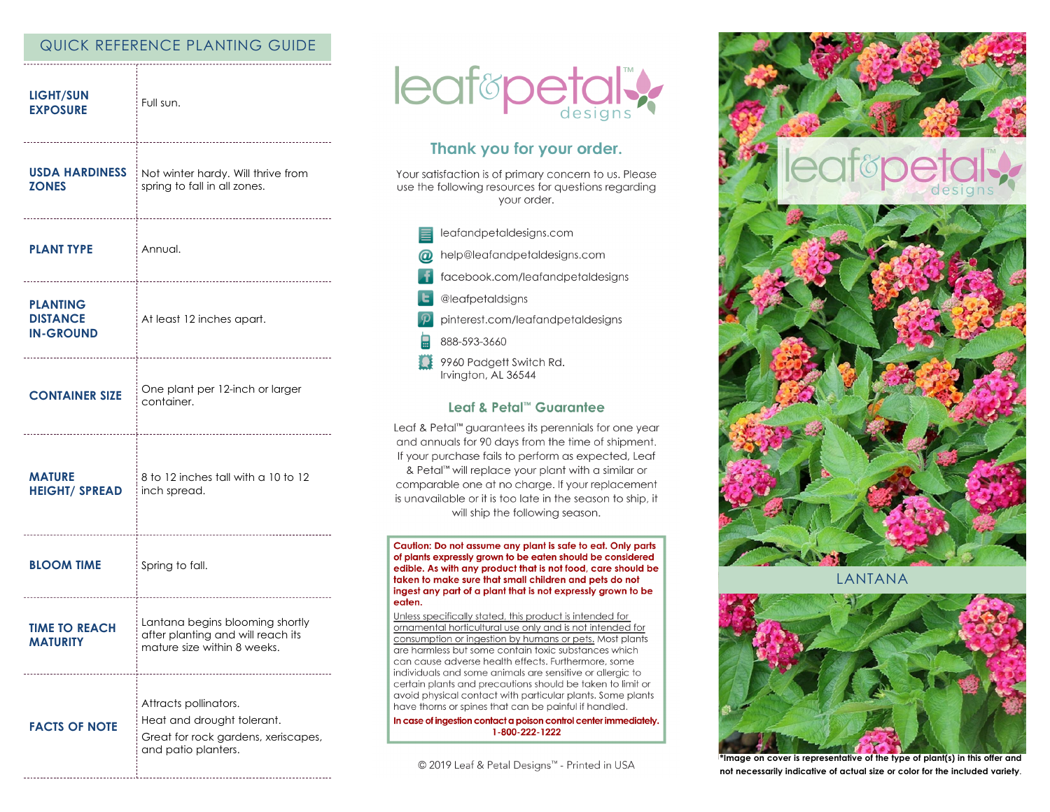# QUICK REFERENCE PLANTING GUIDE

| <b>LIGHT/SUN</b><br><b>EXPOSURE</b>                    | Full sun.                                                                                                         |
|--------------------------------------------------------|-------------------------------------------------------------------------------------------------------------------|
| <b>USDA HARDINESS</b><br><b>ZONES</b>                  | Not winter hardy. Will thrive from<br>spring to fall in all zones.                                                |
| <b>PLANT TYPE</b>                                      | i Annual.                                                                                                         |
| <b>PLANTING</b><br><b>DISTANCE</b><br><b>IN-GROUND</b> | At least 12 inches apart.                                                                                         |
| <b>CONTAINER SIZE</b>                                  | One plant per 12-inch or larger<br>container.                                                                     |
| <b>MATURE</b><br><b>HEIGHT/ SPREAD</b>                 | 8 to 12 inches tall with a 10 to 12<br>inch spread.                                                               |
| <b>BLOOM TIME</b>                                      | Spring to fall.                                                                                                   |
| <b>TIME TO REACH</b><br><b>MATURITY</b>                | Lantana begins blooming shortly<br>after planting and will reach its<br>mature size within 8 weeks.               |
| <b>FACTS OF NOTE</b>                                   | Attracts pollinators.<br>Heat and drought tolerant.<br>Great for rock gardens, xeriscapes,<br>and patio planters. |



# Thank you for your order.

Your satisfaction is of primary concern to us. Please use the following resources for questions regarding your order.

- leafandpetaldesigns.com help@leafandpetaldesigns.com  $\omega$ facebook.com/leafandpetaldesigns @leafpetaldsigns
- pinterest.com/leafandpetaldesigns
- 888-593-3660
- Ω 9960 Padgett Switch Rd. Irvington, AL 36544

### Leaf & Petal™ Guarantee

Leaf & Petal<sup>™</sup> guarantees its perennials for one year and annuals for 90 days from the time of shipment. If your purchase fails to perform as expected, Leaf & Petal™ will replace your plant with a similar or comparable one at no charge. If your replacement is unavailable or it is too late in the season to ship, it will ship the following season.

Caution: Do not assume any plant is safe to eat. Only parts of plants expressly grown to be eaten should be considered edible. As with any product that is not food, care should be taken to make sure that small children and pets do not ingest any part of a plant that is not expressly grown to be eaten.

Unless specifically stated, this product is intended for ornamental horticultural use only and is not intended for consumption or ingestion by humans or pets. Most plants are harmless but some contain toxic substances which can cause adverse health effects. Furthermore, some individuals and some animals are sensitive or allergic to certain plants and precautions should be taken to limit or avoid physical contact with particular plants. Some plants have thorns or spines that can be painful if handled.

In case of ingestion contact a poison control center immediately. 1-800-222-1222

© 2019 Leaf & Petal Designs<sup>™</sup> - Printed in USA



**I ANTANA** 



\*Image on cover is representative of the type of plant(s) in this offer and not necessarily indicative of actual size or color for the included variety.